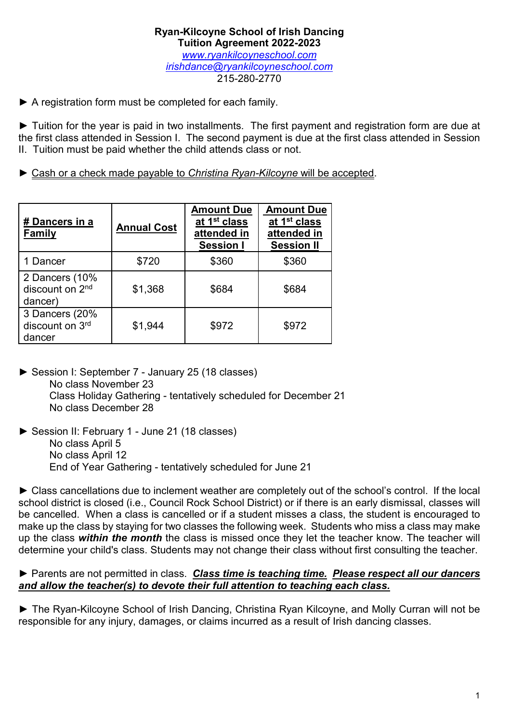▶ A registration form must be completed for each family.

► Tuition for the year is paid in two installments. The first payment and registration form are due at the first class attended in Session I. The second payment is due at the first class attended in Session II. Tuition must be paid whether the child attends class or not.

► Cash or a check made payable to *Christina Ryan-Kilcoyne* will be accepted.

| # Dancers in a<br><b>Family</b>                          | <b>Annual Cost</b> | <b>Amount Due</b><br>at 1 <sup>st</sup> class<br>attended in<br><b>Session I</b> | <b>Amount Due</b><br>at 1 <sup>st</sup> class<br>attended in<br><b>Session II</b> |
|----------------------------------------------------------|--------------------|----------------------------------------------------------------------------------|-----------------------------------------------------------------------------------|
| 1 Dancer                                                 | \$720              | \$360                                                                            | \$360                                                                             |
| 2 Dancers (10%<br>discount on 2 <sup>nd</sup><br>dancer) | \$1,368            | \$684                                                                            | \$684                                                                             |
| 3 Dancers (20%<br>discount on 3rd<br>dancer              | \$1,944            | \$972                                                                            | \$972                                                                             |

- ► Session I: September 7 January 25 (18 classes) No class November 23 Class Holiday Gathering - tentatively scheduled for December 21 No class December 28
- ► Session II: February 1 June 21 (18 classes) No class April 5 No class April 12 End of Year Gathering - tentatively scheduled for June 21

► Class cancellations due to inclement weather are completely out of the school's control. If the local school district is closed (i.e., Council Rock School District) or if there is an early dismissal, classes will be cancelled. When a class is cancelled or if a student misses a class, the student is encouraged to make up the class by staying for two classes the following week. Students who miss a class may make up the class *within the month* the class is missed once they let the teacher know. The teacher will determine your child's class. Students may not change their class without first consulting the teacher.

### ► Parents are not permitted in class. *Class time is teaching time. Please respect all our dancers and allow the teacher(s) to devote their full attention to teaching each class.*

► The Ryan-Kilcoyne School of Irish Dancing, Christina Ryan Kilcoyne, and Molly Curran will not be responsible for any injury, damages, or claims incurred as a result of Irish dancing classes.